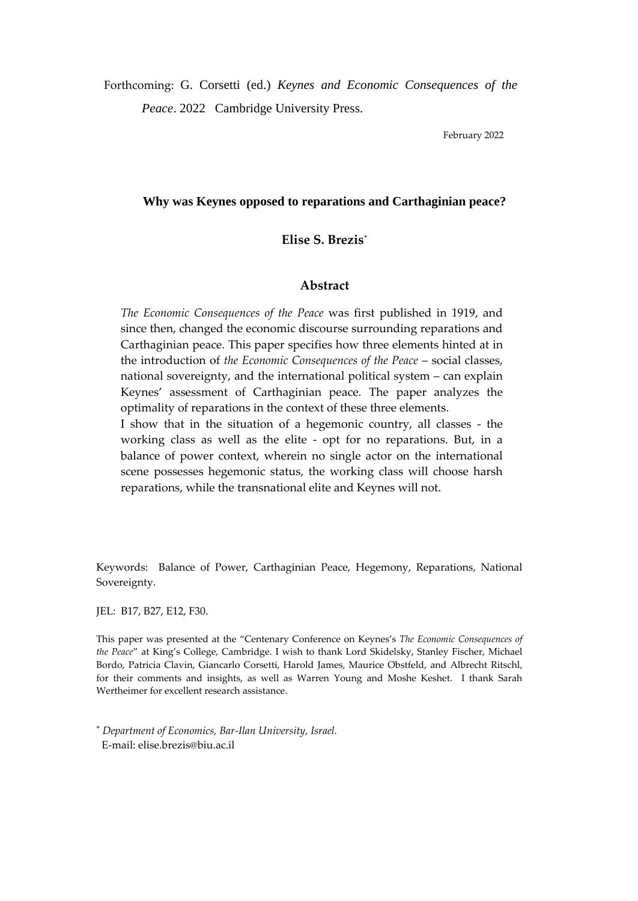Forthcoming: G. Corsetti (ed.) *Keynes and Economic Consequences of the Peace*. 2022 Cambridge University Press.

February 2022

## **Why was Keynes opposed to reparations and Carthaginian peace?**

**Elise S. Brezis**\*

## **Abstract**

*The Economic Consequences of the Peace* was first published in 1919, and since then, changed the economic discourse surrounding reparations and Carthaginian peace. This paper specifies how three elements hinted at in the introduction of *the Economic Consequences of the Peace* – social classes, national sovereignty, and the international political system – can explain Keynes' assessment of Carthaginian peace. The paper analyzes the optimality of reparations in the context of these three elements.

I show that in the situation of a hegemonic country, all classes - the working class as well as the elite - opt for no reparations. But, in a balance of power context, wherein no single actor on the international scene possesses hegemonic status, the working class will choose harsh reparations, while the transnational elite and Keynes will not.

Keywords: Balance of Power, Carthaginian Peace, Hegemony, Reparations, National Sovereignty.

JEL: B17, B27, E12, F30.

This paper was presented at the "Centenary Conference on Keynes's *The Economic Consequences of the Peace*" at King's College, Cambridge. I wish to thank Lord Skidelsky, Stanley Fischer, Michael Bordo, Patricia Clavin, Giancarlo Corsetti, Harold James, Maurice Obstfeld, and Albrecht Ritschl, for their comments and insights, as well as Warren Young and Moshe Keshet. I thank Sarah Wertheimer for excellent research assistance.

\* *Department of Economics, Bar-Ilan University, Israel.* E-mail: [elise.brezis@biu.ac.il](mailto:elise.brezis@biu.ac.il)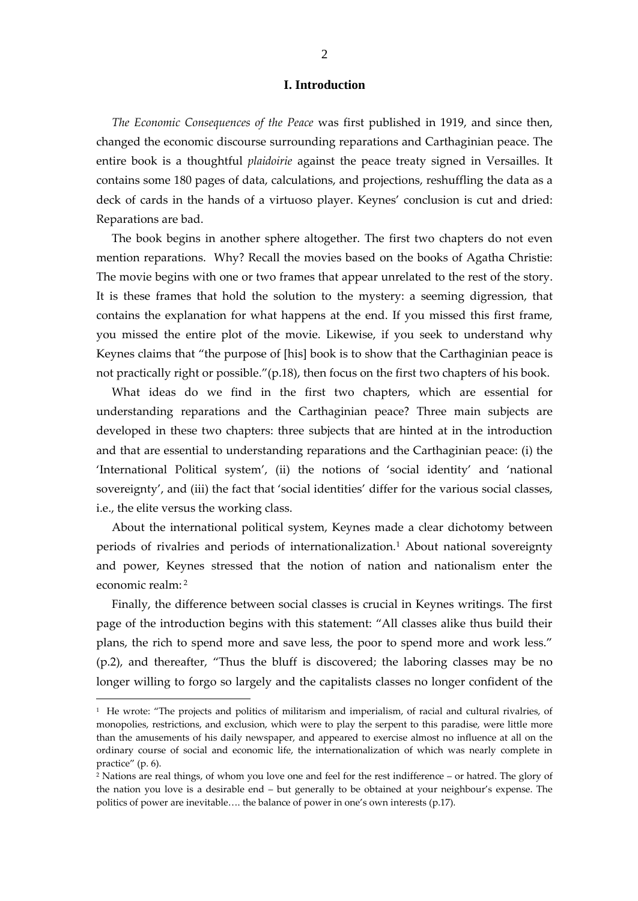## **I. Introduction**

*The Economic Consequences of the Peace* was first published in 1919, and since then, changed the economic discourse surrounding reparations and Carthaginian peace. The entire book is a thoughtful *plaidoirie* against the peace treaty signed in Versailles. It contains some 180 pages of data, calculations, and projections, reshuffling the data as a deck of cards in the hands of a virtuoso player. Keynes' conclusion is cut and dried: Reparations are bad.

The book begins in another sphere altogether. The first two chapters do not even mention reparations. Why? Recall the movies based on the books of Agatha Christie: The movie begins with one or two frames that appear unrelated to the rest of the story. It is these frames that hold the solution to the mystery: a seeming digression, that contains the explanation for what happens at the end. If you missed this first frame, you missed the entire plot of the movie. Likewise, if you seek to understand why Keynes claims that "the purpose of [his] book is to show that the Carthaginian peace is not practically right or possible."(p.18), then focus on the first two chapters of his book.

What ideas do we find in the first two chapters, which are essential for understanding reparations and the Carthaginian peace? Three main subjects are developed in these two chapters: three subjects that are hinted at in the introduction and that are essential to understanding reparations and the Carthaginian peace: (i) the 'International Political system', (ii) the notions of 'social identity' and 'national sovereignty', and (iii) the fact that 'social identities' differ for the various social classes, i.e., the elite versus the working class.

About the international political system, Keynes made a clear dichotomy between periods of rivalries and periods of internationalization.<sup>1</sup> About national sovereignty and power, Keynes stressed that the notion of nation and nationalism enter the economic realm: <sup>2</sup>

Finally, the difference between social classes is crucial in Keynes writings. The first page of the introduction begins with this statement: "All classes alike thus build their plans, the rich to spend more and save less, the poor to spend more and work less." (p.2), and thereafter, "Thus the bluff is discovered; the laboring classes may be no longer willing to forgo so largely and the capitalists classes no longer confident of the

<sup>&</sup>lt;sup>1</sup> He wrote: "The projects and politics of militarism and imperialism, of racial and cultural rivalries, of monopolies, restrictions, and exclusion, which were to play the serpent to this paradise, were little more than the amusements of his daily newspaper, and appeared to exercise almost no influence at all on the ordinary course of social and economic life, the internationalization of which was nearly complete in practice" (p. 6).

<sup>2</sup> Nations are real things, of whom you love one and feel for the rest indifference – or hatred. The glory of the nation you love is a desirable end – but generally to be obtained at your neighbour's expense. The politics of power are inevitable…. the balance of power in one's own interests (p.17).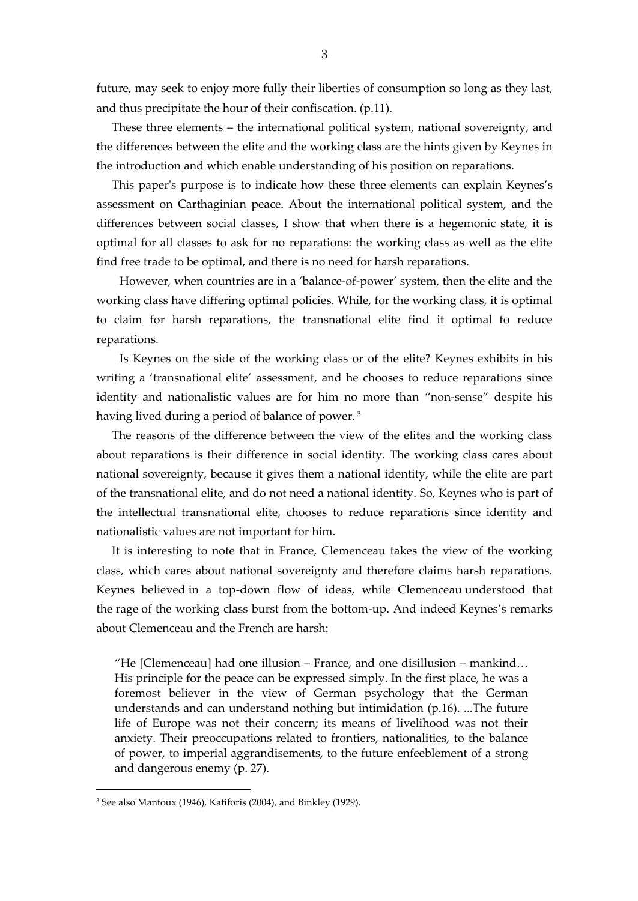future, may seek to enjoy more fully their liberties of consumption so long as they last, and thus precipitate the hour of their confiscation. (p.11).

These three elements – the international political system, national sovereignty, and the differences between the elite and the working class are the hints given by Keynes in the introduction and which enable understanding of his position on reparations.

This paper's purpose is to indicate how these three elements can explain Keynes's assessment on Carthaginian peace. About the international political system, and the differences between social classes, I show that when there is a hegemonic state, it is optimal for all classes to ask for no reparations: the working class as well as the elite find free trade to be optimal, and there is no need for harsh reparations.

However, when countries are in a 'balance-of-power' system, then the elite and the working class have differing optimal policies. While, for the working class, it is optimal to claim for harsh reparations, the transnational elite find it optimal to reduce reparations.

Is Keynes on the side of the working class or of the elite? Keynes exhibits in his writing a 'transnational elite' assessment, and he chooses to reduce reparations since identity and nationalistic values are for him no more than "non-sense" despite his having lived during a period of balance of power.<sup>3</sup>

The reasons of the difference between the view of the elites and the working class about reparations is their difference in social identity. The working class cares about national sovereignty, because it gives them a national identity, while the elite are part of the transnational elite, and do not need a national identity. So, Keynes who is part of the intellectual transnational elite, chooses to reduce reparations since identity and nationalistic values are not important for him.

It is interesting to note that in France, Clemenceau takes the view of the working class, which cares about national sovereignty and therefore claims harsh reparations. Keynes believed in a top-down flow of ideas, while Clemenceau understood that the rage of the working class burst from the bottom-up. And indeed Keynes's remarks about Clemenceau and the French are harsh:

"He [Clemenceau] had one illusion – France, and one disillusion – mankind… His principle for the peace can be expressed simply. In the first place, he was a foremost believer in the view of German psychology that the German understands and can understand nothing but intimidation (p.16). ...The future life of Europe was not their concern; its means of livelihood was not their anxiety. Their preoccupations related to frontiers, nationalities, to the balance of power, to imperial aggrandisements, to the future enfeeblement of a strong and dangerous enemy (p. 27).

<sup>3</sup> See also Mantoux (1946), Katiforis (2004), and Binkley (1929).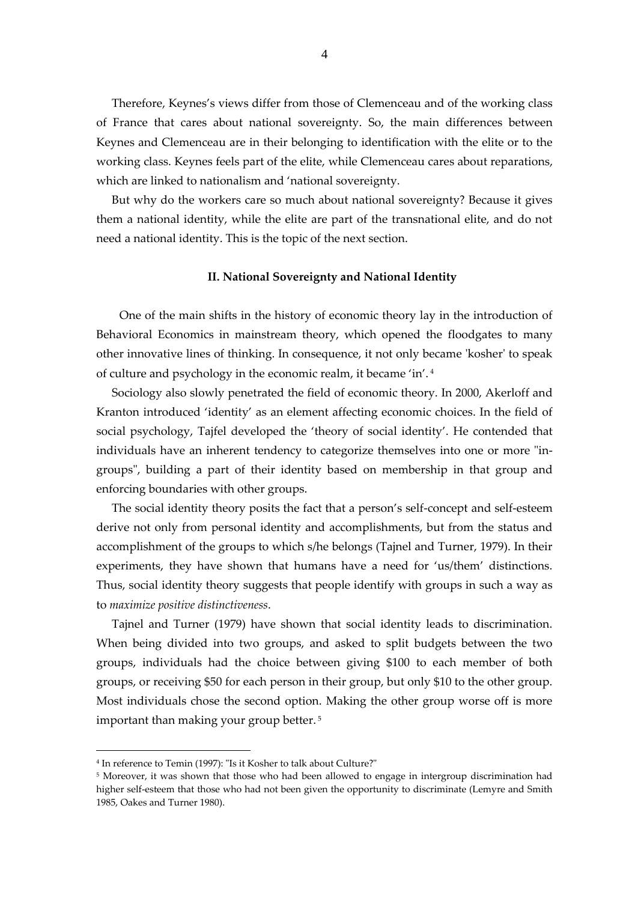Therefore, Keynes's views differ from those of Clemenceau and of the working class of France that cares about national sovereignty. So, the main differences between Keynes and Clemenceau are in their belonging to identification with the elite or to the working class. Keynes feels part of the elite, while Clemenceau cares about reparations, which are linked to nationalism and 'national sovereignty.

But why do the workers care so much about national sovereignty? Because it gives them a national identity, while the elite are part of the transnational elite, and do not need a national identity. This is the topic of the next section.

## **II. National Sovereignty and National Identity**

One of the main shifts in the history of economic theory lay in the introduction of Behavioral Economics in mainstream theory, which opened the floodgates to many other innovative lines of thinking. In consequence, it not only became 'kosher' to speak of culture and psychology in the economic realm, it became 'in'. <sup>4</sup>

Sociology also slowly penetrated the field of economic theory. In 2000, Akerloff and Kranton introduced 'identity' as an element affecting economic choices. In the field of social psychology, Tajfel developed the 'theory of social identity'. He contended that individuals have an inherent tendency to categorize themselves into one or more "ingroups", building a part of their identity based on membership in that group and enforcing boundaries with other groups.

The social identity theory posits the fact that a person's self-concept and self-esteem derive not only from personal identity and accomplishments, but from the status and accomplishment of the groups to which s/he belongs (Tajnel and Turner, 1979). In their experiments, they have shown that humans have a need for 'us/them' distinctions. Thus, social identity theory suggests that people identify with groups in such a way as to *maximize positive distinctiveness*.

Tajnel and Turner (1979) have shown that social identity leads to discrimination. When being divided into two groups, and asked to split budgets between the two groups, individuals had the choice between giving \$100 to each member of both groups, or receiving \$50 for each person in their group, but only \$10 to the other group. Most individuals chose the second option. Making the other group worse off is more important than making your group better. <sup>5</sup>

<sup>4</sup> In reference to Temin (1997): "Is it Kosher to talk about Culture?"

<sup>&</sup>lt;sup>5</sup> Moreover, it was shown that those who had been allowed to engage in intergroup discrimination had higher self-esteem that those who had not been given the opportunity to discriminate (Lemyre and Smith 1985, Oakes and Turner 1980).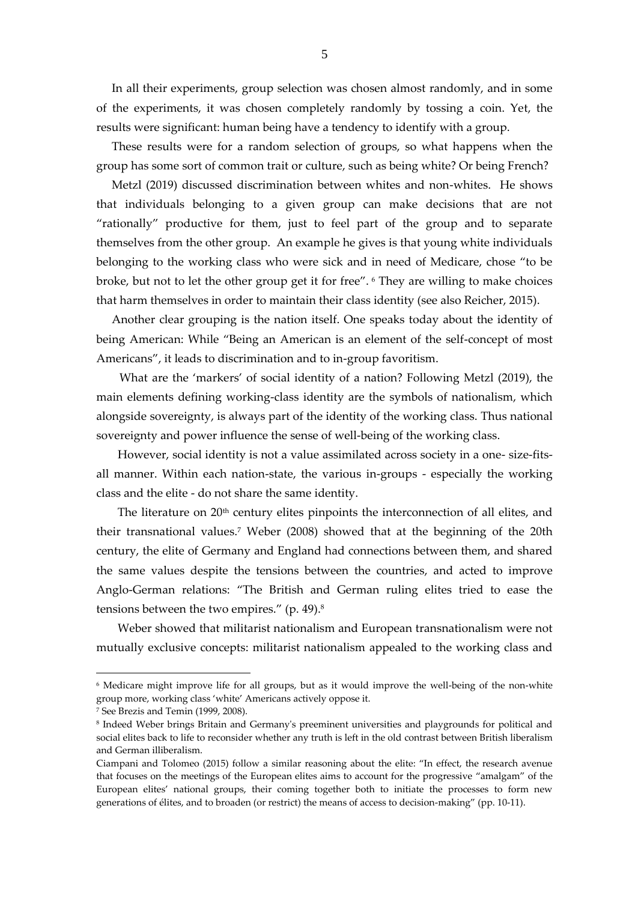In all their experiments, group selection was chosen almost randomly, and in some of the experiments, it was chosen completely randomly by tossing a coin. Yet, the results were significant: human being have a tendency to identify with a group.

These results were for a random selection of groups, so what happens when the group has some sort of common trait or culture, such as being white? Or being French?

Metzl (2019) discussed discrimination between whites and non-whites. He shows that individuals belonging to a given group can make decisions that are not "rationally" productive for them, just to feel part of the group and to separate themselves from the other group. An example he gives is that young white individuals belonging to the working class who were sick and in need of Medicare, chose "to be broke, but not to let the other group get it for free". <sup>6</sup> They are willing to make choices that harm themselves in order to maintain their class identity (see also Reicher, 2015).

Another clear grouping is the nation itself. One speaks today about the identity of being American: While "Being an American is an element of the self-concept of most Americans", it leads to discrimination and to in-group favoritism.

What are the 'markers' of social identity of a nation? Following Metzl (2019), the main elements defining working-class identity are the symbols of nationalism, which alongside sovereignty, is always part of the identity of the working class. Thus national sovereignty and power influence the sense of well-being of the working class.

However, social identity is not a value assimilated across society in a one- size-fitsall manner. Within each nation-state, the various in-groups - especially the working class and the elite - do not share the same identity.

The literature on  $20<sup>th</sup>$  century elites pinpoints the interconnection of all elites, and their transnational values.<sup>7</sup> Weber (2008) showed that at the beginning of the 20th century, the elite of Germany and England had connections between them, and shared the same values despite the tensions between the countries, and acted to improve Anglo-German relations: "The British and German ruling elites tried to ease the tensions between the two empires." (p. 49). 8

Weber showed that militarist nationalism and European transnationalism were not mutually exclusive concepts: militarist nationalism appealed to the working class and

<sup>6</sup> Medicare might improve life for all groups, but as it would improve the well-being of the non-white group more, working class 'white' Americans actively oppose it.

<sup>7</sup> See Brezis and Temin (1999, 2008).

<sup>8</sup> Indeed Weber brings Britain and Germany's preeminent universities and playgrounds for political and social elites back to life to reconsider whether any truth is left in the old contrast between British liberalism and German illiberalism.

Ciampani and Tolomeo (2015) follow a similar reasoning about the elite: "In effect, the research avenue that focuses on the meetings of the European elites aims to account for the progressive "amalgam" of the European elites' national groups, their coming together both to initiate the processes to form new generations of élites, and to broaden (or restrict) the means of access to decision-making" (pp. 10-11).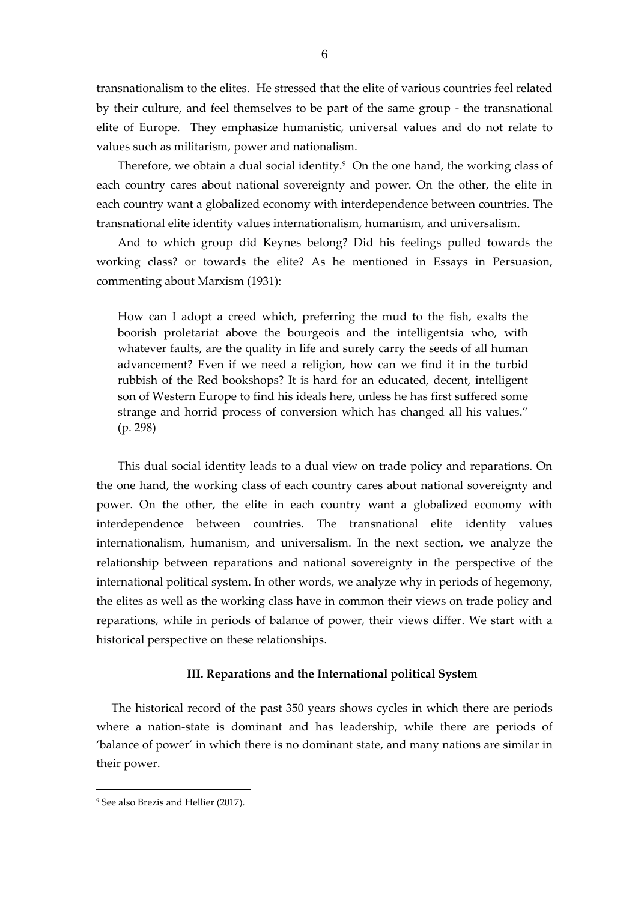transnationalism to the elites. He stressed that the elite of various countries feel related by their culture, and feel themselves to be part of the same group - the transnational elite of Europe. They emphasize humanistic, universal values and do not relate to values such as militarism, power and nationalism.

Therefore, we obtain a dual social identity.<sup>9</sup> On the one hand, the working class of each country cares about national sovereignty and power. On the other, the elite in each country want a globalized economy with interdependence between countries. The transnational elite identity values internationalism, humanism, and universalism.

And to which group did Keynes belong? Did his feelings pulled towards the working class? or towards the elite? As he mentioned in Essays in Persuasion, commenting about Marxism (1931):

How can I adopt a creed which, preferring the mud to the fish, exalts the boorish proletariat above the bourgeois and the intelligentsia who, with whatever faults, are the quality in life and surely carry the seeds of all human advancement? Even if we need a religion, how can we find it in the turbid rubbish of the Red bookshops? It is hard for an educated, decent, intelligent son of Western Europe to find his ideals here, unless he has first suffered some strange and horrid process of conversion which has changed all his values." (p. 298)

This dual social identity leads to a dual view on trade policy and reparations. On the one hand, the working class of each country cares about national sovereignty and power. On the other, the elite in each country want a globalized economy with interdependence between countries. The transnational elite identity values internationalism, humanism, and universalism. In the next section, we analyze the relationship between reparations and national sovereignty in the perspective of the international political system. In other words, we analyze why in periods of hegemony, the elites as well as the working class have in common their views on trade policy and reparations, while in periods of balance of power, their views differ. We start with a historical perspective on these relationships.

#### **III. Reparations and the International political System**

The historical record of the past 350 years shows cycles in which there are periods where a nation-state is dominant and has leadership, while there are periods of 'balance of power' in which there is no dominant state, and many nations are similar in their power.

<sup>9</sup> See also Brezis and Hellier (2017).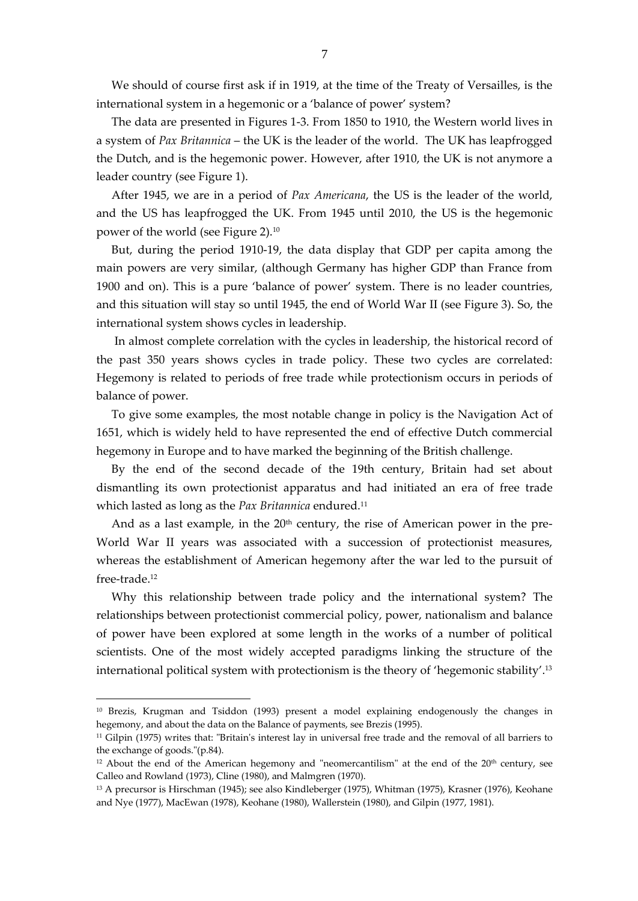We should of course first ask if in 1919, at the time of the Treaty of Versailles, is the international system in a hegemonic or a 'balance of power' system?

The data are presented in Figures 1-3. From 1850 to 1910, the Western world lives in a system of *Pax Britannica* – the UK is the leader of the world. The UK has leapfrogged the Dutch, and is the hegemonic power. However, after 1910, the UK is not anymore a leader country (see Figure 1).

After 1945, we are in a period of *Pax Americana*, the US is the leader of the world, and the US has leapfrogged the UK. From 1945 until 2010, the US is the hegemonic power of the world (see Figure 2).<sup>10</sup>

But, during the period 1910-19, the data display that GDP per capita among the main powers are very similar, (although Germany has higher GDP than France from 1900 and on). This is a pure 'balance of power' system. There is no leader countries, and this situation will stay so until 1945, the end of World War II (see Figure 3). So, the international system shows cycles in leadership.

In almost complete correlation with the cycles in leadership, the historical record of the past 350 years shows cycles in trade policy. These two cycles are correlated: Hegemony is related to periods of free trade while protectionism occurs in periods of balance of power.

To give some examples, the most notable change in policy is the Navigation Act of 1651, which is widely held to have represented the end of effective Dutch commercial hegemony in Europe and to have marked the beginning of the British challenge.

By the end of the second decade of the 19th century, Britain had set about dismantling its own protectionist apparatus and had initiated an era of free trade which lasted as long as the *Pax Britannica* endured.<sup>11</sup>

And as a last example, in the  $20<sup>th</sup>$  century, the rise of American power in the pre-World War II years was associated with a succession of protectionist measures, whereas the establishment of American hegemony after the war led to the pursuit of free-trade.<sup>12</sup>

Why this relationship between trade policy and the international system? The relationships between protectionist commercial policy, power, nationalism and balance of power have been explored at some length in the works of a number of political scientists. One of the most widely accepted paradigms linking the structure of the international political system with protectionism is the theory of 'hegemonic stability'. 13

<sup>&</sup>lt;sup>10</sup> Brezis, Krugman and Tsiddon (1993) present a model explaining endogenously the changes in hegemony, and about the data on the Balance of payments, see Brezis (1995).

<sup>11</sup> Gilpin (1975) writes that: "Britain's interest lay in universal free trade and the removal of all barriers to the exchange of goods."(p.84).

 $12$  About the end of the American hegemony and "neomercantilism" at the end of the  $20<sup>th</sup>$  century, see Calleo and Rowland (1973), Cline (1980), and Malmgren (1970).

<sup>13</sup> A precursor is Hirschman (1945); see also Kindleberger (1975), Whitman (1975), Krasner (1976), Keohane and Nye (1977), MacEwan (1978), Keohane (1980), Wallerstein (1980), and Gilpin (1977, 1981).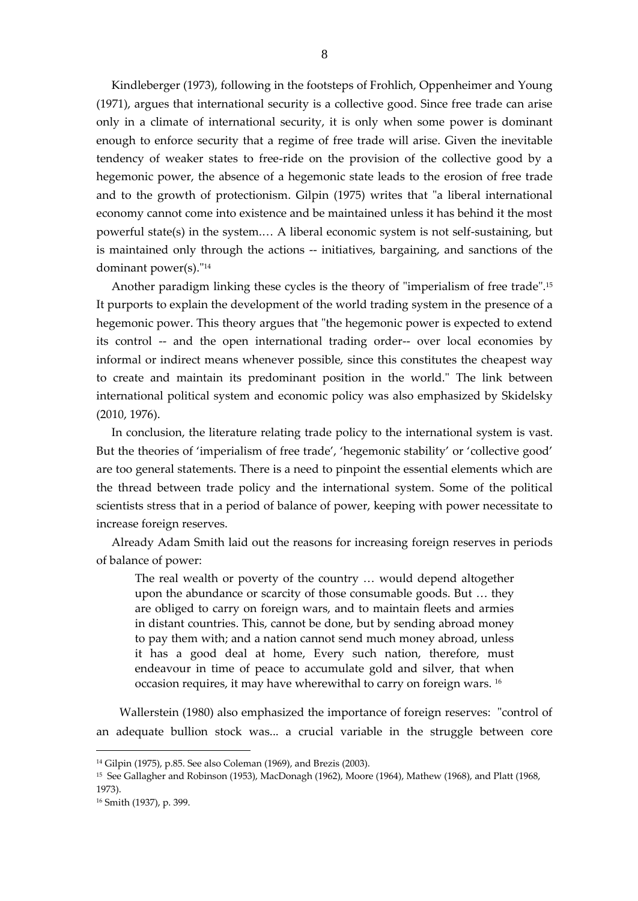Kindleberger (1973), following in the footsteps of Frohlich, Oppenheimer and Young (1971), argues that international security is a collective good. Since free trade can arise only in a climate of international security, it is only when some power is dominant enough to enforce security that a regime of free trade will arise. Given the inevitable tendency of weaker states to free-ride on the provision of the collective good by a hegemonic power, the absence of a hegemonic state leads to the erosion of free trade and to the growth of protectionism. Gilpin (1975) writes that "a liberal international economy cannot come into existence and be maintained unless it has behind it the most powerful state(s) in the system.… A liberal economic system is not self-sustaining, but is maintained only through the actions -- initiatives, bargaining, and sanctions of the dominant power(s)."<sup>14</sup>

8

Another paradigm linking these cycles is the theory of "imperialism of free trade". 15 It purports to explain the development of the world trading system in the presence of a hegemonic power. This theory argues that "the hegemonic power is expected to extend its control -- and the open international trading order-- over local economies by informal or indirect means whenever possible, since this constitutes the cheapest way to create and maintain its predominant position in the world." The link between international political system and economic policy was also emphasized by Skidelsky (2010, 1976).

In conclusion, the literature relating trade policy to the international system is vast. But the theories of 'imperialism of free trade', 'hegemonic stability' or 'collective good' are too general statements. There is a need to pinpoint the essential elements which are the thread between trade policy and the international system. Some of the political scientists stress that in a period of balance of power, keeping with power necessitate to increase foreign reserves.

Already Adam Smith laid out the reasons for increasing foreign reserves in periods of balance of power:

The real wealth or poverty of the country … would depend altogether upon the abundance or scarcity of those consumable goods. But … they are obliged to carry on foreign wars, and to maintain fleets and armies in distant countries. This, cannot be done, but by sending abroad money to pay them with; and a nation cannot send much money abroad, unless it has a good deal at home, Every such nation, therefore, must endeavour in time of peace to accumulate gold and silver, that when occasion requires, it may have wherewithal to carry on foreign wars. <sup>16</sup>

Wallerstein (1980) also emphasized the importance of foreign reserves: "control of an adequate bullion stock was... a crucial variable in the struggle between core

<sup>14</sup> Gilpin (1975), p.85. See also Coleman (1969), and Brezis (2003).

<sup>15</sup> See Gallagher and Robinson (1953), MacDonagh (1962), Moore (1964), Mathew (1968), and Platt (1968, 1973).

<sup>16</sup> Smith (1937), p. 399.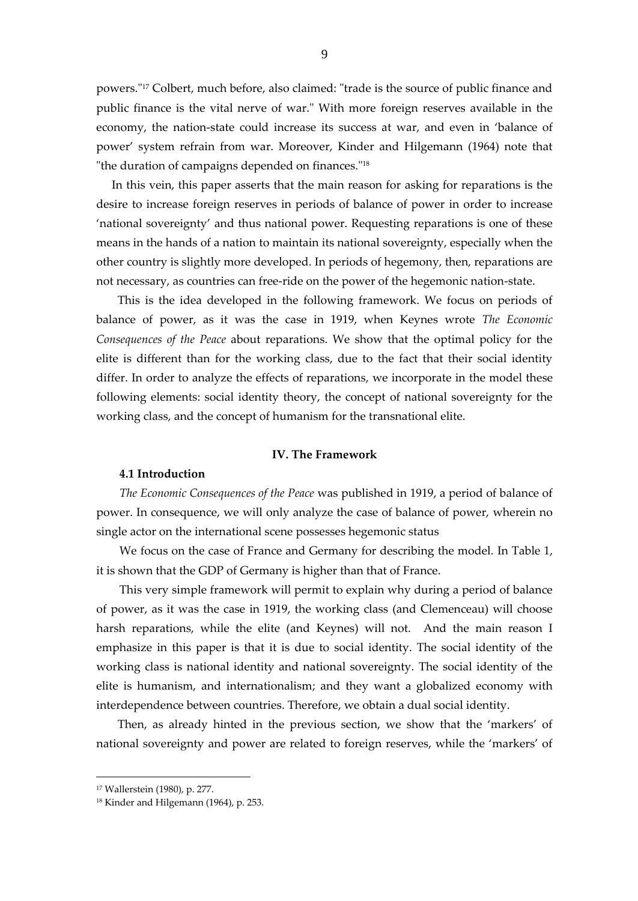powers." <sup>17</sup> Colbert, much before, also claimed: "trade is the source of public finance and public finance is the vital nerve of war." With more foreign reserves available in the economy, the nation-state could increase its success at war, and even in 'balance of power' system refrain from war. Moreover, Kinder and Hilgemann (1964) note that "the duration of campaigns depended on finances." 18

In this vein, this paper asserts that the main reason for asking for reparations is the desire to increase foreign reserves in periods of balance of power in order to increase 'national sovereignty' and thus national power. Requesting reparations is one of these means in the hands of a nation to maintain its national sovereignty, especially when the other country is slightly more developed. In periods of hegemony, then, reparations are not necessary, as countries can free-ride on the power of the hegemonic nation-state.

This is the idea developed in the following framework. We focus on periods of balance of power, as it was the case in 1919, when Keynes wrote *The Economic Consequences of the Peace* about reparations. We show that the optimal policy for the elite is different than for the working class, due to the fact that their social identity differ. In order to analyze the effects of reparations, we incorporate in the model these following elements: social identity theory, the concept of national sovereignty for the working class, and the concept of humanism for the transnational elite.

#### **IV. The Framework**

### **4.1 Introduction**

*The Economic Consequences of the Peace* was published in 1919, a period of balance of power. In consequence, we will only analyze the case of balance of power, wherein no single actor on the international scene possesses hegemonic status

We focus on the case of France and Germany for describing the model. In Table 1, it is shown that the GDP of Germany is higher than that of France.

This very simple framework will permit to explain why during a period of balance of power, as it was the case in 1919, the working class (and Clemenceau) will choose harsh reparations, while the elite (and Keynes) will not. And the main reason I emphasize in this paper is that it is due to social identity. The social identity of the working class is national identity and national sovereignty. The social identity of the elite is humanism, and internationalism; and they want a globalized economy with interdependence between countries. Therefore, we obtain a dual social identity.

Then, as already hinted in the previous section, we show that the 'markers' of national sovereignty and power are related to foreign reserves, while the 'markers' of

<sup>17</sup> Wallerstein (1980), p. 277.

<sup>18</sup> Kinder and Hilgemann (1964), p. 253.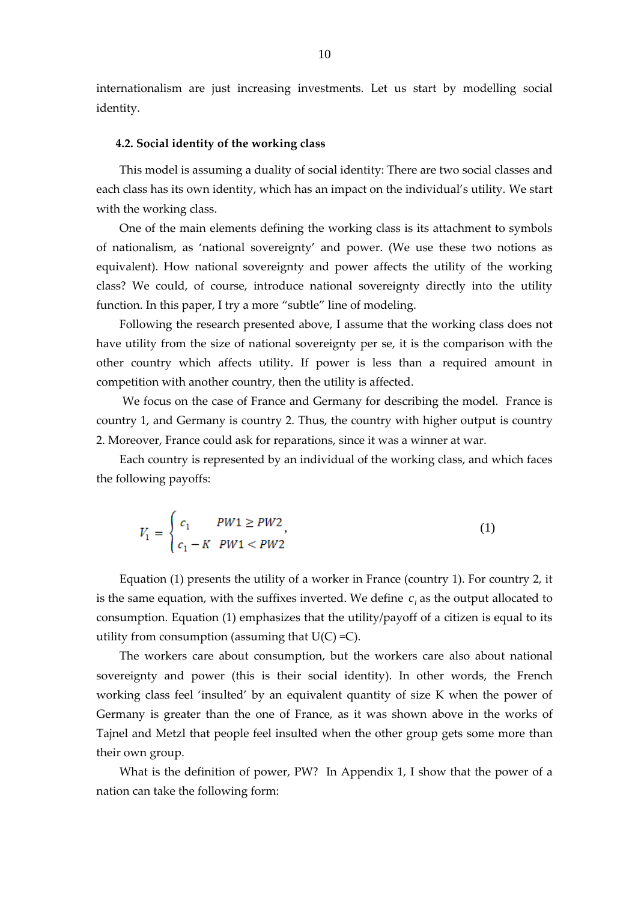internationalism are just increasing investments. Let us start by modelling social identity.

#### **4.2. Social identity of the working class**

This model is assuming a duality of social identity: There are two social classes and each class has its own identity, which has an impact on the individual's utility. We start with the working class.

One of the main elements defining the working class is its attachment to symbols of nationalism, as 'national sovereignty' and power. (We use these two notions as equivalent). How national sovereignty and power affects the utility of the working class? We could, of course, introduce national sovereignty directly into the utility function. In this paper, I try a more "subtle" line of modeling.

Following the research presented above, I assume that the working class does not have utility from the size of national sovereignty per se, it is the comparison with the other country which affects utility. If power is less than a required amount in competition with another country, then the utility is affected.

We focus on the case of France and Germany for describing the model. France is country 1, and Germany is country 2. Thus, the country with higher output is country 2. Moreover, France could ask for reparations, since it was a winner at war.

Each country is represented by an individual of the working class, and which faces the following payoffs:

$$
V_1 = \begin{cases} c_1 & PW1 \ge PW2 \\ c_1 - K & PW1 < PW2 \end{cases}
$$
\n<sup>(1)</sup>

Equation (1) presents the utility of a worker in France (country 1). For country 2, it is the same equation, with the suffixes inverted. We define  $c_i$  as the output allocated to consumption. Equation (1) emphasizes that the utility/payoff of a citizen is equal to its utility from consumption (assuming that  $U(C) = C$ ).

The workers care about consumption, but the workers care also about national sovereignty and power (this is their social identity). In other words, the French working class feel 'insulted' by an equivalent quantity of size K when the power of Germany is greater than the one of France, as it was shown above in the works of Tajnel and Metzl that people feel insulted when the other group gets some more than their own group.

What is the definition of power, PW? In Appendix 1, I show that the power of a nation can take the following form: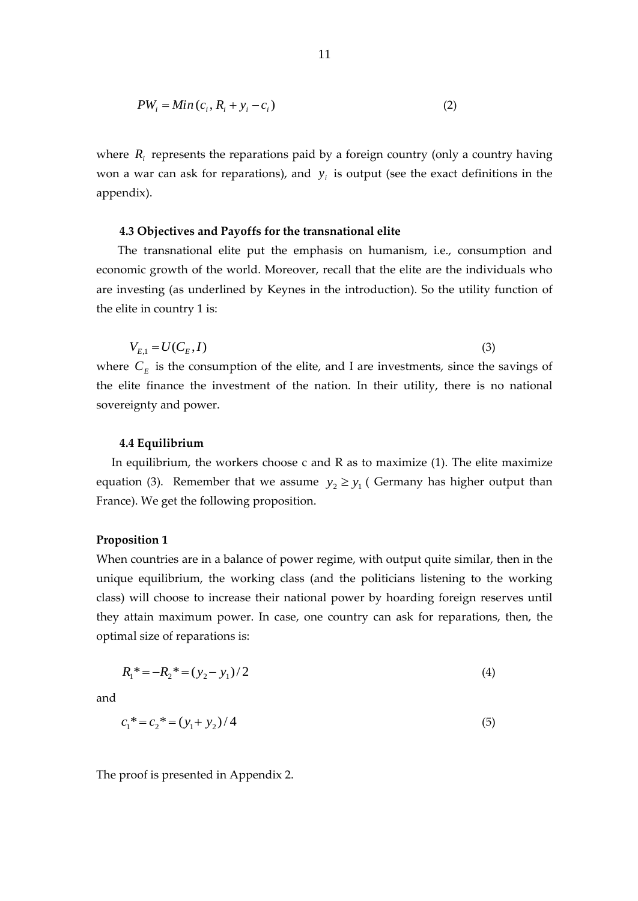$$
PW_i = Min(c_i, R_i + y_i - c_i)
$$
\n<sup>(2)</sup>

where  $R_i$  represents the reparations paid by a foreign country (only a country having won a war can ask for reparations), and  $y_i$  is output (see the exact definitions in the appendix).

#### **4.3 Objectives and Payoffs for the transnational elite**

The transnational elite put the emphasis on humanism, i.e., consumption and economic growth of the world. Moreover, recall that the elite are the individuals who are investing (as underlined by Keynes in the introduction). So the utility function of the elite in country 1 is:

$$
V_{E,1} = U(C_E, I)
$$
 (3)  
where  $C_E$  is the consumption of the elite, and I are investments, since the savings of  
the elite finance the investment of the nation. In their utility, there is no national

sovereignty and power.

#### **4.4 Equilibrium**

In equilibrium, the workers choose c and R as to maximize (1). The elite maximize equation (3). Remember that we assume  $y_2 \ge y_1$  ( Germany has higher output than France). We get the following proposition.

## **Proposition 1**

When countries are in a balance of power regime, with output quite similar, then in the unique equilibrium, the working class (and the politicians listening to the working class) will choose to increase their national power by hoarding foreign reserves until they attain maximum power. In case, one country can ask for reparations, then, the optimal size of reparations is:

$$
R_1^* = -R_2^* = (y_2 - y_1)/2 \tag{4}
$$

and

$$
c_1^* = c_2^* = (y_1 + y_2)/4\tag{5}
$$

The proof is presented in Appendix 2.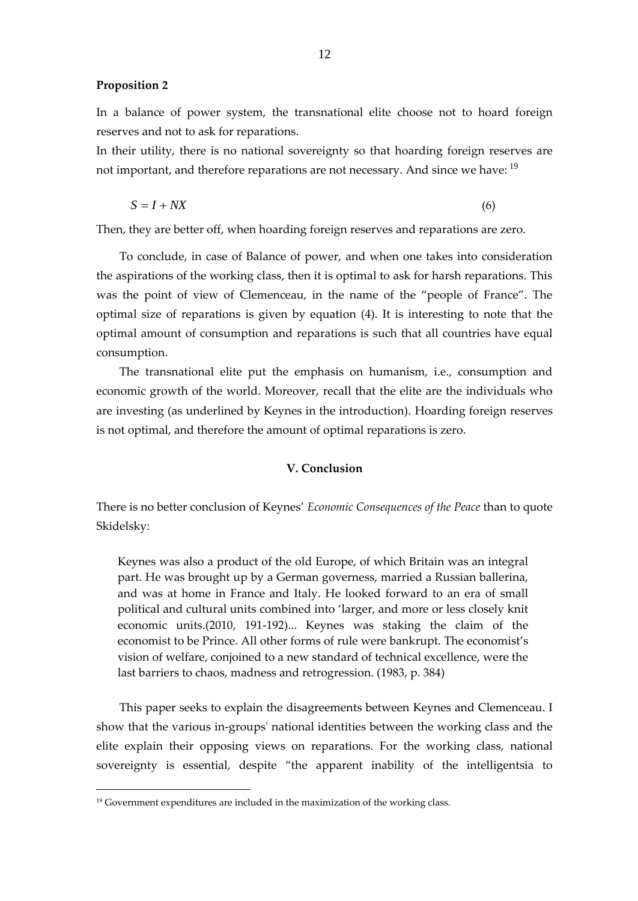#### **Proposition 2**

In a balance of power system, the transnational elite choose not to hoard foreign reserves and not to ask for reparations.

In their utility, there is no national sovereignty so that hoarding foreign reserves are not important, and therefore reparations are not necessary. And since we have: <sup>19</sup>

$$
S = I + N X \tag{6}
$$

Then, they are better off, when hoarding foreign reserves and reparations are zero.

To conclude, in case of Balance of power, and when one takes into consideration the aspirations of the working class, then it is optimal to ask for harsh reparations. This was the point of view of Clemenceau, in the name of the "people of France". The optimal size of reparations is given by equation (4). It is interesting to note that the optimal amount of consumption and reparations is such that all countries have equal consumption.

The transnational elite put the emphasis on humanism, i.e., consumption and economic growth of the world. Moreover, recall that the elite are the individuals who are investing (as underlined by Keynes in the introduction). Hoarding foreign reserves is not optimal, and therefore the amount of optimal reparations is zero.

## **V. Conclusion**

There is no better conclusion of Keynes' *Economic Consequences of the Peace* than to quote Skidelsky:

Keynes was also a product of the old Europe, of which Britain was an integral part. He was brought up by a German governess, married a Russian ballerina, and was at home in France and Italy. He looked forward to an era of small political and cultural units combined into 'larger, and more or less closely knit economic units.(2010, 191-192)... Keynes was staking the claim of the economist to be Prince. All other forms of rule were bankrupt. The economist's vision of welfare, conjoined to a new standard of technical excellence, were the last barriers to chaos, madness and retrogression. (1983, p. 384)

This paper seeks to explain the disagreements between Keynes and Clemenceau. I show that the various in-groups' national identities between the working class and the elite explain their opposing views on reparations. For the working class, national sovereignty is essential, despite "the apparent inability of the intelligentsia to

<sup>&</sup>lt;sup>19</sup> Government expenditures are included in the maximization of the working class.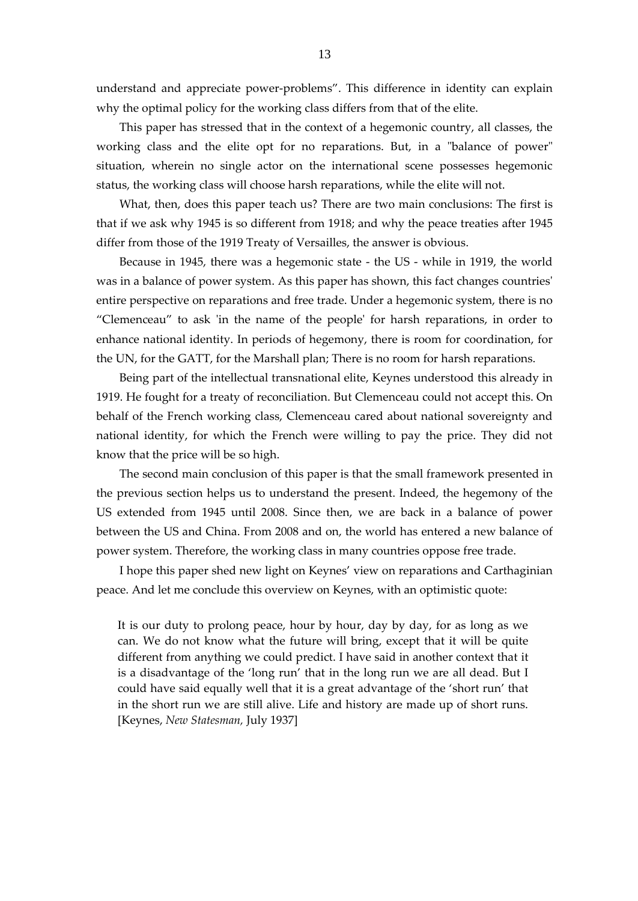understand and appreciate power-problems". This difference in identity can explain why the optimal policy for the working class differs from that of the elite.

This paper has stressed that in the context of a hegemonic country, all classes, the working class and the elite opt for no reparations. But, in a "balance of power" situation, wherein no single actor on the international scene possesses hegemonic status, the working class will choose harsh reparations, while the elite will not.

What, then, does this paper teach us? There are two main conclusions: The first is that if we ask why 1945 is so different from 1918; and why the peace treaties after 1945 differ from those of the 1919 Treaty of Versailles, the answer is obvious.

Because in 1945, there was a hegemonic state - the US - while in 1919, the world was in a balance of power system. As this paper has shown, this fact changes countries' entire perspective on reparations and free trade. Under a hegemonic system, there is no "Clemenceau" to ask 'in the name of the people' for harsh reparations, in order to enhance national identity. In periods of hegemony, there is room for coordination, for the UN, for the GATT, for the Marshall plan; There is no room for harsh reparations.

Being part of the intellectual transnational elite, Keynes understood this already in 1919. He fought for a treaty of reconciliation. But Clemenceau could not accept this. On behalf of the French working class, Clemenceau cared about national sovereignty and national identity, for which the French were willing to pay the price. They did not know that the price will be so high.

The second main conclusion of this paper is that the small framework presented in the previous section helps us to understand the present. Indeed, the hegemony of the US extended from 1945 until 2008. Since then, we are back in a balance of power between the US and China. From 2008 and on, the world has entered a new balance of power system. Therefore, the working class in many countries oppose free trade.

I hope this paper shed new light on Keynes' view on reparations and Carthaginian peace. And let me conclude this overview on Keynes, with an optimistic quote:

It is our duty to prolong peace, hour by hour, day by day, for as long as we can. We do not know what the future will bring, except that it will be quite different from anything we could predict. I have said in another context that it is a disadvantage of the 'long run' that in the long run we are all dead. But I could have said equally well that it is a great advantage of the 'short run' that in the short run we are still alive. Life and history are made up of short runs. [Keynes, *New Statesman,* July 1937]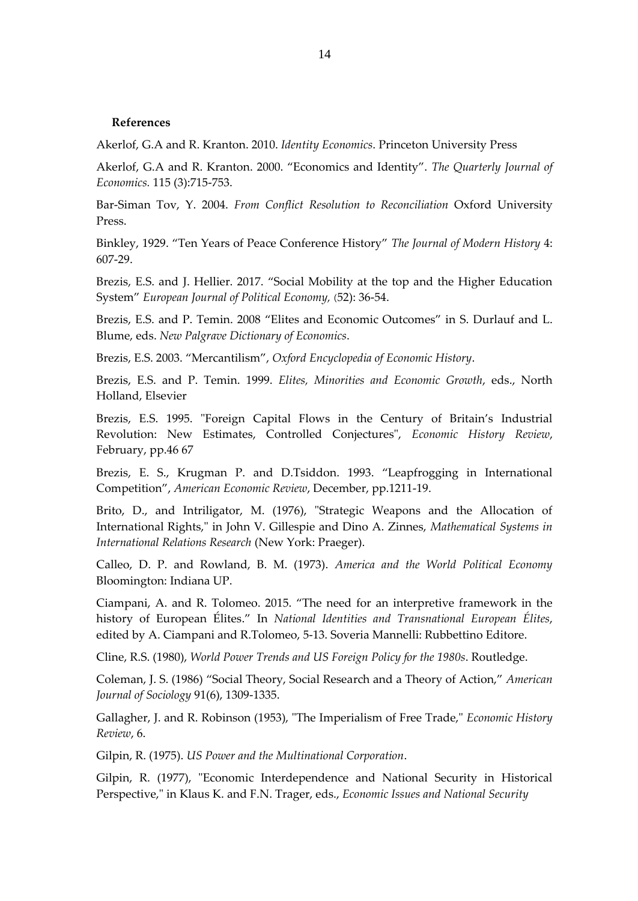#### **References**

Akerlof, G.A and R. Kranton. 2010. *Identity Economics*. Princeton University Press

Akerlof, G.A and R. Kranton. 2000. "Economics and Identity". *The Quarterly Journal of Economics.* 115 (3):715-753.

Bar-Siman Tov, Y. 2004. *From Conflict Resolution to Reconciliation* Oxford University Press.

Binkley, 1929. "Ten Years of Peace Conference History" *The Journal of Modern History* 4: 607-29.

Brezis, E.S. and J. Hellier. 2017. "Social Mobility at the top and the Higher Education System" European Journal of Political Economy, (52): 36-54.

Brezis, E.S. and P. Temin. 2008 "Elites and Economic Outcomes" in S. Durlauf and L. Blume, eds. *New Palgrave Dictionary of Economics*.

Brezis, E.S. 2003. "Mercantilism", *Oxford Encyclopedia of Economic History*.

Brezis, E.S. and P. Temin. 1999. *Elites, Minorities and Economic Growth*, eds., North Holland, Elsevier

Brezis, E.S. 1995. "Foreign Capital Flows in the Century of Britain's Industrial Revolution: New Estimates, Controlled Conjectures", *Economic History Review*, February, pp.46 67

Brezis, E. S., Krugman P. and D.Tsiddon. 1993. "Leapfrogging in International Competition", *American Economic Review*, December, pp.1211-19.

Brito, D., and Intriligator, M. (1976), "Strategic Weapons and the Allocation of International Rights," in John V. Gillespie and Dino A. Zinnes, *Mathematical Systems in International Relations Research* (New York: Praeger).

Calleo, D. P. and Rowland, B. M. (1973). *America and the World Political Economy* Bloomington: Indiana UP.

Ciampani, A. and R. Tolomeo. 2015. "The need for an interpretive framework in the history of European Élites." In *National Identities and Transnational European Élites*, edited by A. Ciampani and R.Tolomeo, 5-13. Soveria Mannelli: Rubbettino Editore.

Cline, R.S. (1980), *World Power Trends and US Foreign Policy for the 1980s*. Routledge.

Coleman, J. S. (1986) "Social Theory, Social Research and a Theory of Action," *American Journal of Sociology* 91(6), 1309-1335.

Gallagher, J. and R. Robinson (1953), "The Imperialism of Free Trade," *Economic History Review*, 6.

Gilpin, R. (1975). *US Power and the Multinational Corporation*.

Gilpin, R. (1977), "Economic Interdependence and National Security in Historical Perspective," in Klaus K. and F.N. Trager, eds., *Economic Issues and National Security*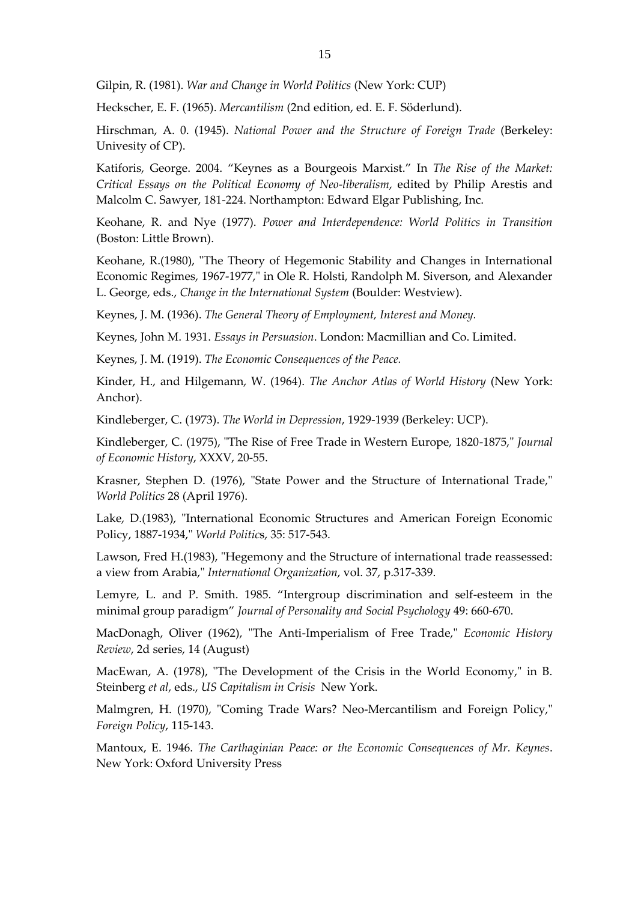Gilpin, R. (1981). *War and Change in World Politics* (New York: CUP)

Heckscher, E. F. (1965). *Mercantilism* (2nd edition, ed. E. F. Söderlund).

Hirschman, A. 0. (1945). *National Power and the Structure of Foreign Trade* (Berkeley: Univesity of CP).

Katiforis, George. 2004. "Keynes as a Bourgeois Marxist." In *The Rise of the Market: Critical Essays on the Political Economy of Neo-liberalism*, edited by Philip Arestis and Malcolm C. Sawyer, 181-224. Northampton: Edward Elgar Publishing, Inc.

Keohane, R. and Nye (1977). *Power and Interdependence: World Politics in Transition* (Boston: Little Brown).

Keohane, R.(1980), "The Theory of Hegemonic Stability and Changes in International Economic Regimes, 1967-1977," in Ole R. Holsti, Randolph M. Siverson, and Alexander L. George, eds., *Change in the International System* (Boulder: Westview).

Keynes, J. M. (1936). *The General Theory of Employment, Interest and Money.*

Keynes, John M. 1931. *Essays in Persuasion*. London: Macmillian and Co. Limited.

Keynes, J. M. (1919). *The Economic Consequences of the Peace.*

Kinder, H., and Hilgemann, W. (1964). *The Anchor Atlas of World History* (New York: Anchor).

Kindleberger, C. (1973). *The World in Depression*, 1929-1939 (Berkeley: UCP).

Kindleberger, C. (1975), "The Rise of Free Trade in Western Europe, 1820-1875," *Journal of Economic History*, XXXV, 20-55.

Krasner, Stephen D. (1976), "State Power and the Structure of International Trade," *World Politics* 28 (April 1976).

Lake, D.(1983), "International Economic Structures and American Foreign Economic Policy, 1887-1934," *World Politic*s, 35: 517-543.

Lawson, Fred H.(1983), "Hegemony and the Structure of international trade reassessed: a view from Arabia," *International Organization*, vol. 37, p.317-339.

Lemyre, L. and P. Smith. 1985. "Intergroup discrimination and self-esteem in the minimal group paradigm" *Journal of Personality and Social Psychology* 49: 660-670.

MacDonagh, Oliver (1962), "The Anti-Imperialism of Free Trade," *Economic History Review*, 2d series, 14 (August)

MacEwan, A. (1978), "The Development of the Crisis in the World Economy," in B. Steinberg *et al*, eds., *US Capitalism in Crisis* New York.

Malmgren, H. (1970), "Coming Trade Wars? Neo-Mercantilism and Foreign Policy," *Foreign Policy*, 115-143.

Mantoux, E. 1946. *The Carthaginian Peace: or the Economic Consequences of Mr. Keynes*. New York: Oxford University Press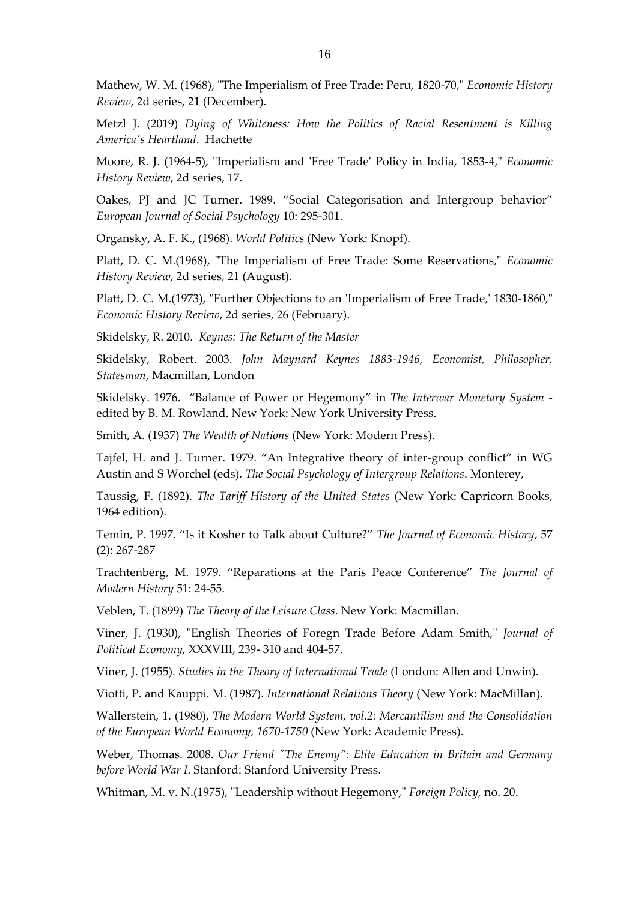Mathew, W. M. (1968), "The Imperialism of Free Trade: Peru, 1820-70," *Economic History Review*, 2d series, 21 (December).

Metzl J. (2019) *Dying of Whiteness: How the Politics of Racial Resentment is Killing America's Heartland*. Hachette

Moore, R. J. (1964-5), "Imperialism and 'Free Trade' Policy in India, 1853-4," *Economic History Review*, 2d series, 17.

Oakes, PJ and JC Turner. 1989. "Social Categorisation and Intergroup behavior" *European Journal of Social Psychology* 10: 295-301.

Organsky, A. F. K., (1968). *World Politics* (New York: Knopf).

Platt, D. C. M.(1968), "The Imperialism of Free Trade: Some Reservations," *Economic History Review*, 2d series, 21 (August).

Platt, D. C. M.(1973), "Further Objections to an 'Imperialism of Free Trade,' 1830-1860," *Economic History Review*, 2d series, 26 (February).

Skidelsky, R. 2010. *Keynes: The Return of the Master*

Skidelsky, Robert. 2003. *John Maynard Keynes 1883-1946, Economist, Philosopher, Statesman*, Macmillan, London

Skidelsky. 1976. "Balance of Power or Hegemony" in *The Interwar Monetary System* edited by B. M. Rowland. New York: New York University Press.

Smith, A. (1937) *The Wealth of Nations* (New York: Modern Press).

Tajfel, H. and J. Turner. 1979. "An Integrative theory of inter-group conflict" in WG Austin and S Worchel (eds), *The Social Psychology of Intergroup Relations*. Monterey,

Taussig, F. (1892). *The Tariff History of the United States* (New York: Capricorn Books, 1964 edition).

Temin, P. 1997. "Is it Kosher to Talk about Culture?" *The Journal of Economic History*, 57 (2): 267-287

Trachtenberg, M. 1979. "Reparations at the Paris Peace Conference" *The Journal of Modern History* 51: 24-55.

Veblen, T. (1899) *The Theory of the Leisure Class*. New York: Macmillan.

Viner, J. (1930), "English Theories of Foregn Trade Before Adam Smith," *Journal of Political Economy,* XXXVIII, 239- 310 and 404-57.

Viner, J. (1955). *Studies in the Theory of International Trade* (London: Allen and Unwin).

Viotti, P. and Kauppi. M. (1987). *International Relations Theory* (New York: MacMillan).

Wallerstein, 1. (1980), *The Modern World System, vol.2: Mercantilism and the Consolidation of the European World Economy, 1670-1750* (New York: Academic Press).

Weber, Thomas. 2008. *Our Friend "The Enemy": Elite Education in Britain and Germany before World War I*. Stanford: Stanford University Press.

Whitman, M. v. N.(1975), "Leadership without Hegemony," *Foreign Policy,* no. 20.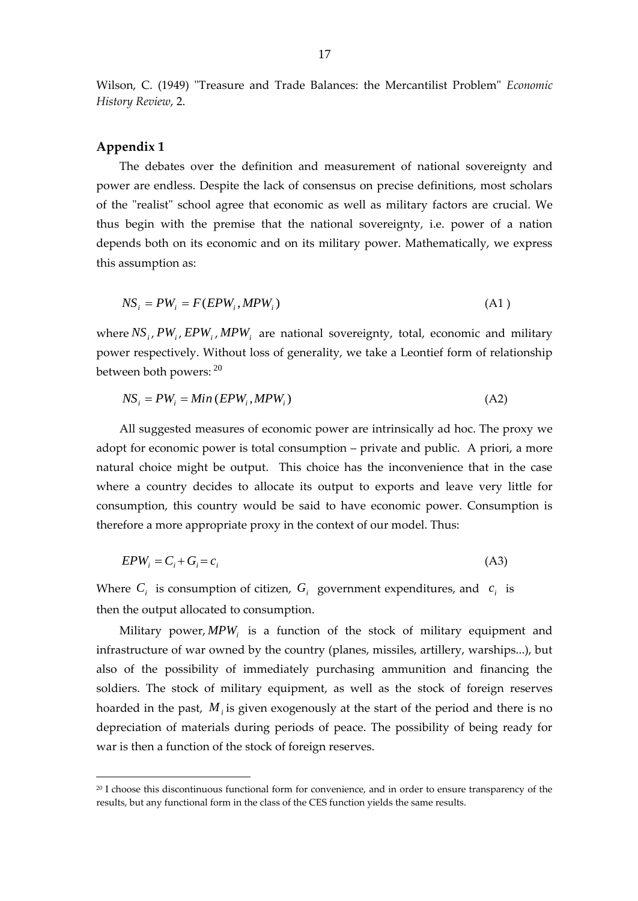Wilson, C. (1949) "Treasure and Trade Balances: the Mercantilist Problem" *Economic History Review*, 2.

## **Appendix 1**

The debates over the definition and measurement of national sovereignty and power are endless. Despite the lack of consensus on precise definitions, most scholars of the "realist" school agree that economic as well as military factors are crucial. We thus begin with the premise that the national sovereignty, i.e. power of a nation depends both on its economic and on its military power. Mathematically, we express this assumption as:

$$
NS_i = PW_i = F(EPW_i, MPW_i)
$$
\n(A1)

where  $NS_i$ ,  $PW_i$ ,  $EPW_i$ ,  $MPW_i$  are national sovereignty, total, economic and military power respectively. Without loss of generality, we take a Leontief form of relationship between both powers:  $^{20}$ 

$$
NS_i = PW_i = Min (EPW_i, MPW_i)
$$
\n(A2)

All suggested measures of economic power are intrinsically ad hoc. The proxy we adopt for economic power is total consumption – private and public. A priori, a more natural choice might be output. This choice has the inconvenience that in the case where a country decides to allocate its output to exports and leave very little for consumption, this country would be said to have economic power. Consumption is therefore a more appropriate proxy in the context of our model. Thus:

$$
EPW_i = C_i + G_i = c_i \tag{A3}
$$

Where  $C_i$  is consumption of citizen,  $G_i$  government expenditures, and  $c_i$  is then the output allocated to consumption.

Military power, *MPW<sup>i</sup>* is a function of the stock of military equipment and infrastructure of war owned by the country (planes, missiles, artillery, warships...), but also of the possibility of immediately purchasing ammunition and financing the soldiers. The stock of military equipment, as well as the stock of foreign reserves hoarded in the past, M<sub>*i*</sub> is given exogenously at the start of the period and there is no depreciation of materials during periods of peace. The possibility of being ready for war is then a function of the stock of foreign reserves.

<sup>&</sup>lt;sup>20</sup> I choose this discontinuous functional form for convenience, and in order to ensure transparency of the results, but any functional form in the class of the CES function yields the same results.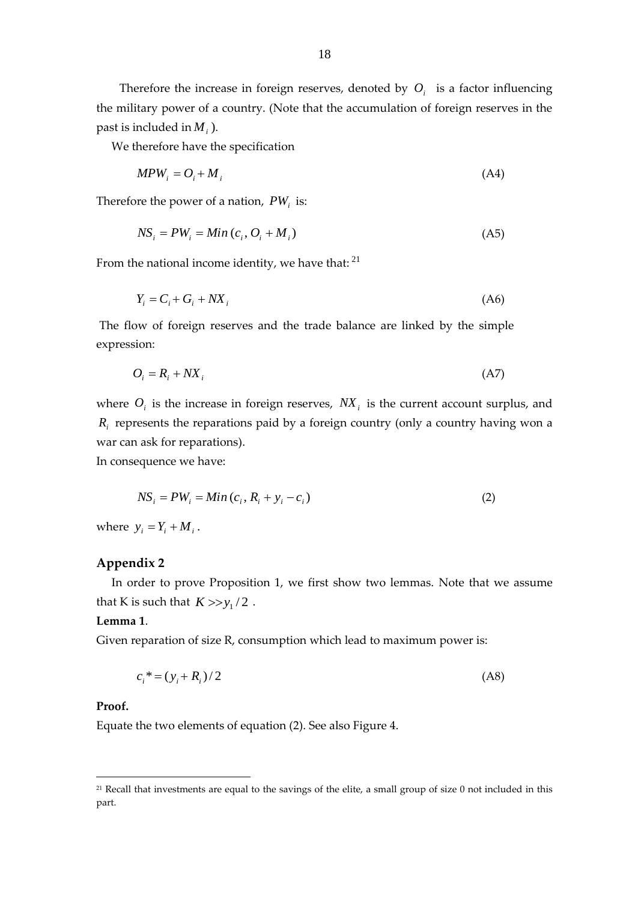Therefore the increase in foreign reserves, denoted by  $O_i$  is a factor influencing the military power of a country. (Note that the accumulation of foreign reserves in the past is included in *M<sup>i</sup>* ).

We therefore have the specification

$$
MPW_i = O_i + M_i \tag{A4}
$$

Therefore the power of a nation, *PW<sup>i</sup>* is:

$$
NS_i = PW_i = Min(c_i, O_i + M_i)
$$
\n(A5)

From the national income identity, we have that:  $21$ 

$$
Y_i = C_i + G_i + N X_i \tag{A6}
$$

The flow of foreign reserves and the trade balance are linked by the simple expression:

$$
O_i = R_i + N X_i \tag{A7}
$$

where  $O_i$  is the increase in foreign reserves,  $N X_i$  is the current account surplus, and *Ri* represents the reparations paid by a foreign country (only a country having won a war can ask for reparations).

In consequence we have:

$$
NS_i = PW_i = Min(c_i, R_i + y_i - c_i)
$$
\n
$$
(2)
$$

where  $y_i = Y_i + M_i$ .

## **Appendix 2**

In order to prove Proposition 1, we first show two lemmas. Note that we assume that K is such that  $K \gg y_1/2$ .

#### **Lemma 1**.

Given reparation of size R, consumption which lead to maximum power is:

$$
c_i^* = (y_i + R_i)/2 \tag{A8}
$$

#### **Proof.**

Equate the two elements of equation (2). See also Figure 4.

<sup>&</sup>lt;sup>21</sup> Recall that investments are equal to the savings of the elite, a small group of size 0 not included in this part.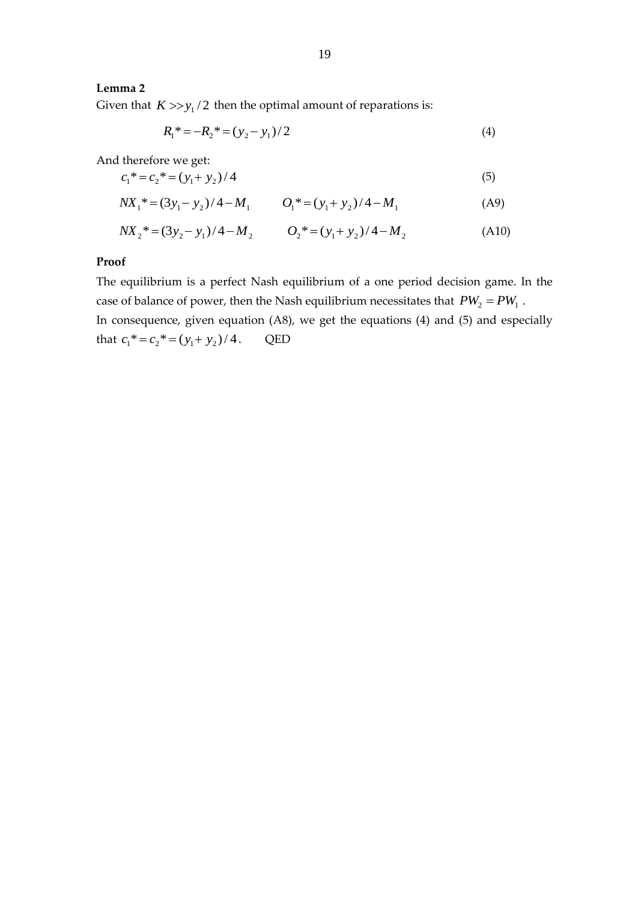## **Lemma 2**

Given that  $K > > y_1/2$  then the optimal amount of reparations is:

$$
R_1^* = -R_2^* = (y_2 - y_1)/2 \tag{4}
$$

And therefore we get:

$$
c_1^* = c_2^* = (y_1 + y_2)/4\tag{5}
$$

$$
N X_1^* = (3y_1 - y_2)/4 - M_1 \qquad O_1^* = (y_1 + y_2)/4 - M_1 \tag{A9}
$$

$$
NX_2^* = (3y_2 - y_1)/4 - M_2 \qquad O_2^* = (y_1 + y_2)/4 - M_2 \qquad (A10)
$$

## **Proof**

The equilibrium is a perfect Nash equilibrium of a one period decision game. In the case of balance of power, then the Nash equilibrium necessitates that  $PW_2 = PW_1$ . In consequence, given equation (A8), we get the equations (4) and (5) and especially that  $c_1^* = c_2^* = (y_1 + y_2)/4$ . QED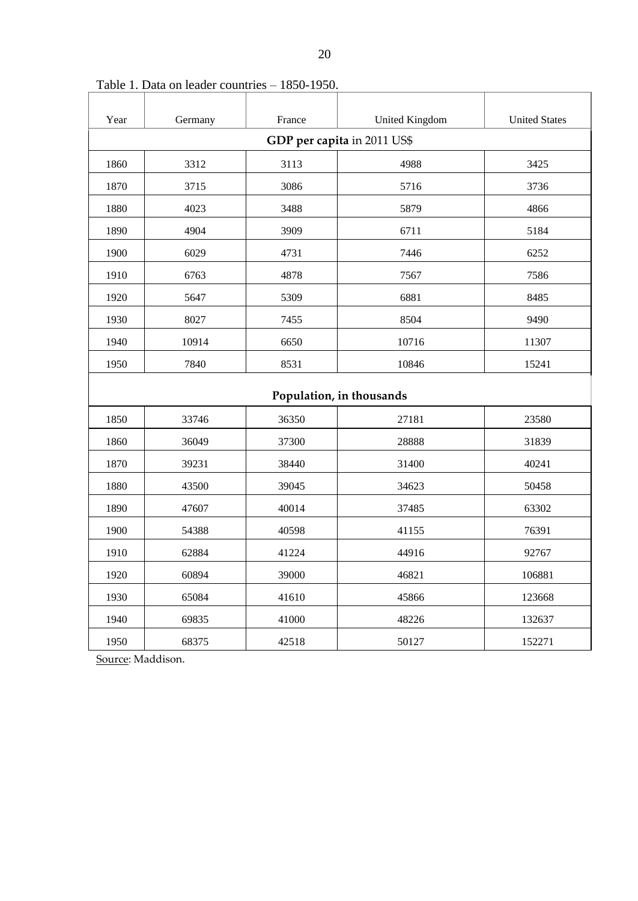| Year                        | Germany | France | <b>United Kingdom</b> | <b>United States</b> |
|-----------------------------|---------|--------|-----------------------|----------------------|
| GDP per capita in 2011 US\$ |         |        |                       |                      |
| 1860                        | 3312    | 3113   | 4988                  | 3425                 |
| 1870                        | 3715    | 3086   | 5716                  | 3736                 |
| 1880                        | 4023    | 3488   | 5879                  | 4866                 |
| 1890                        | 4904    | 3909   | 6711                  | 5184                 |
| 1900                        | 6029    | 4731   | 7446                  | 6252                 |
| 1910                        | 6763    | 4878   | 7567                  | 7586                 |
| 1920                        | 5647    | 5309   | 6881                  | 8485                 |
| 1930                        | 8027    | 7455   | 8504                  | 9490                 |
| 1940                        | 10914   | 6650   | 10716                 | 11307                |
| 1950                        | 7840    | 8531   | 10846                 | 15241                |
| Population, in thousands    |         |        |                       |                      |
| 1850                        | 33746   | 36350  | 27181                 | 23580                |
| 1860                        | 36049   | 37300  | 28888                 | 31839                |
| 1870                        | 39231   | 38440  | 31400                 | 40241                |
| 1880                        | 43500   | 39045  | 34623                 | 50458                |
| 1890                        | 47607   | 40014  | 37485                 | 63302                |
| 1900                        | 54388   | 40598  | 41155                 | 76391                |
| 1910                        | 62884   | 41224  | 44916                 | 92767                |
| 1920                        | 60894   | 39000  | 46821                 | 106881               |
| 1930                        | 65084   | 41610  | 45866                 | 123668               |
| 1940                        | 69835   | 41000  | 48226                 | 132637               |
| 1950                        | 68375   | 42518  | 50127                 | 152271               |

Table 1. Data on leader countries – 1850-1950.

Source: Maddison.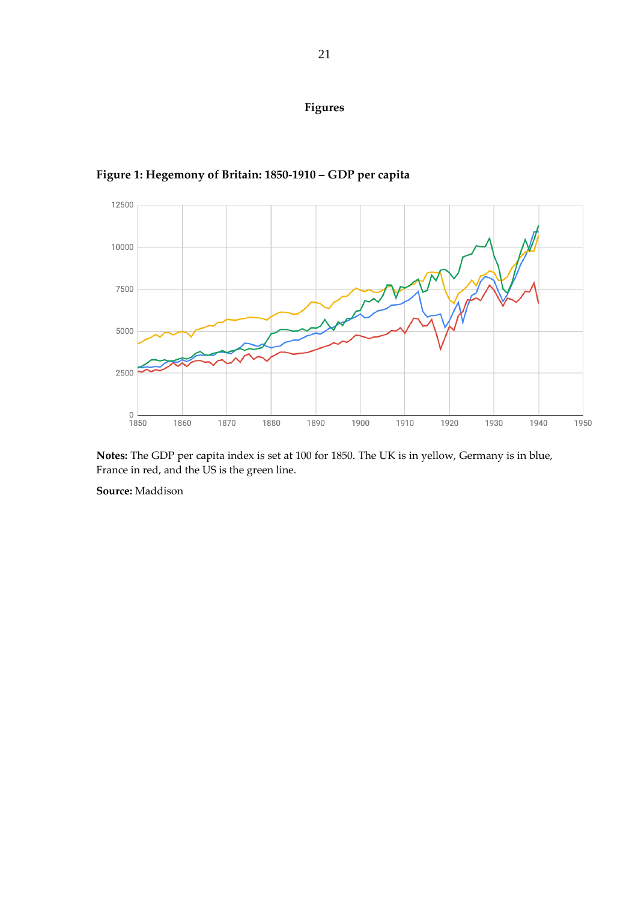



**Figure 1: Hegemony of Britain: 1850-1910 – GDP per capita**

**Notes:** The GDP per capita index is set at 100 for 1850. The UK is in yellow, Germany is in blue, France in red, and the US is the green line.

**Source:** Maddison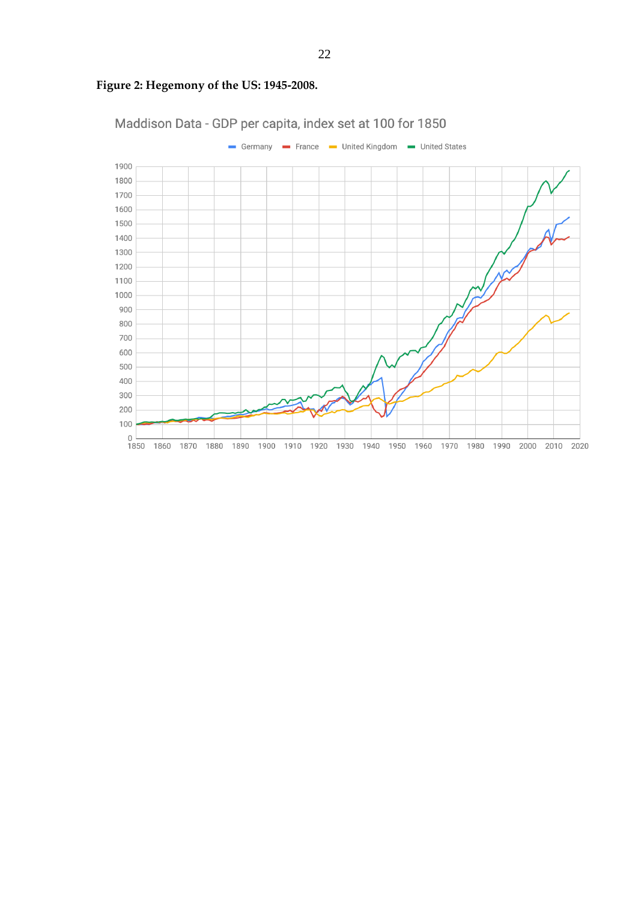

## **Figure 2: Hegemony of the US: 1945-2008.**

22